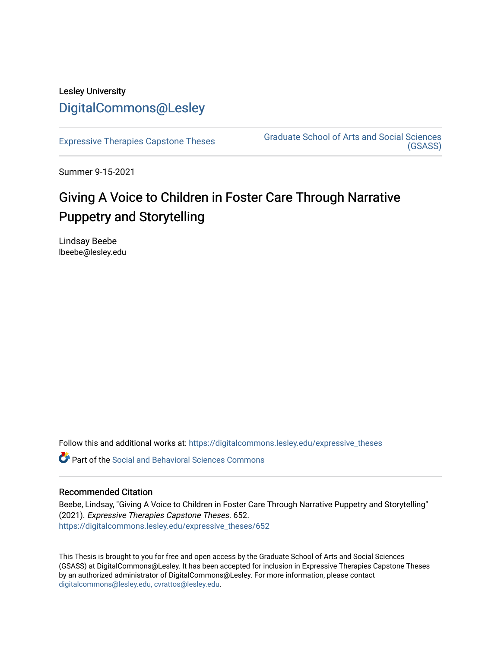# Lesley University [DigitalCommons@Lesley](https://digitalcommons.lesley.edu/)

[Expressive Therapies Capstone Theses](https://digitalcommons.lesley.edu/expressive_theses) Graduate School of Arts and Social Sciences [\(GSASS\)](https://digitalcommons.lesley.edu/gsass) 

Summer 9-15-2021

# Giving A Voice to Children in Foster Care Through Narrative Puppetry and Storytelling

Lindsay Beebe lbeebe@lesley.edu

Follow this and additional works at: [https://digitalcommons.lesley.edu/expressive\\_theses](https://digitalcommons.lesley.edu/expressive_theses?utm_source=digitalcommons.lesley.edu%2Fexpressive_theses%2F652&utm_medium=PDF&utm_campaign=PDFCoverPages)

Part of the [Social and Behavioral Sciences Commons](https://network.bepress.com/hgg/discipline/316?utm_source=digitalcommons.lesley.edu%2Fexpressive_theses%2F652&utm_medium=PDF&utm_campaign=PDFCoverPages) 

## Recommended Citation

Beebe, Lindsay, "Giving A Voice to Children in Foster Care Through Narrative Puppetry and Storytelling" (2021). Expressive Therapies Capstone Theses. 652. [https://digitalcommons.lesley.edu/expressive\\_theses/652](https://digitalcommons.lesley.edu/expressive_theses/652?utm_source=digitalcommons.lesley.edu%2Fexpressive_theses%2F652&utm_medium=PDF&utm_campaign=PDFCoverPages)

This Thesis is brought to you for free and open access by the Graduate School of Arts and Social Sciences (GSASS) at DigitalCommons@Lesley. It has been accepted for inclusion in Expressive Therapies Capstone Theses by an authorized administrator of DigitalCommons@Lesley. For more information, please contact [digitalcommons@lesley.edu, cvrattos@lesley.edu](mailto:digitalcommons@lesley.edu,%20cvrattos@lesley.edu).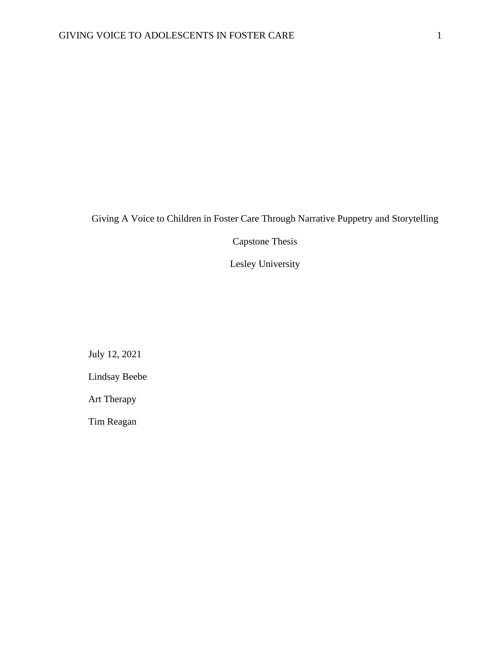# Giving A Voice to Children in Foster Care Through Narrative Puppetry and Storytelling

Capstone Thesis

Lesley University

July 12, 2021

Lindsay Beebe

Art Therapy

Tim Reagan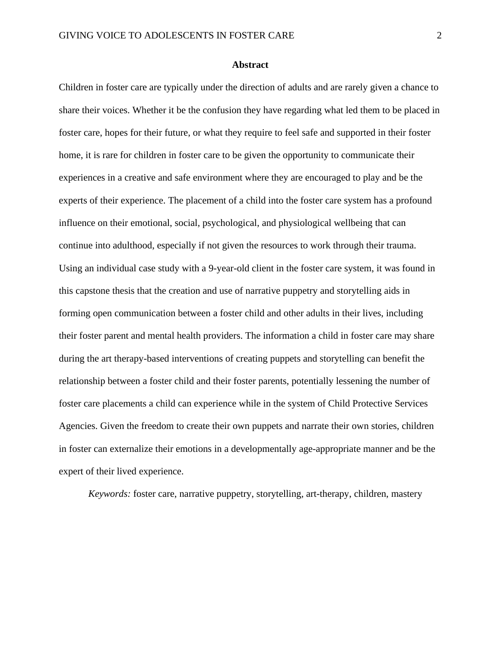## **Abstract**

Children in foster care are typically under the direction of adults and are rarely given a chance to share their voices. Whether it be the confusion they have regarding what led them to be placed in foster care, hopes for their future, or what they require to feel safe and supported in their foster home, it is rare for children in foster care to be given the opportunity to communicate their experiences in a creative and safe environment where they are encouraged to play and be the experts of their experience. The placement of a child into the foster care system has a profound influence on their emotional, social, psychological, and physiological wellbeing that can continue into adulthood, especially if not given the resources to work through their trauma. Using an individual case study with a 9-year-old client in the foster care system, it was found in this capstone thesis that the creation and use of narrative puppetry and storytelling aids in forming open communication between a foster child and other adults in their lives, including their foster parent and mental health providers. The information a child in foster care may share during the art therapy-based interventions of creating puppets and storytelling can benefit the relationship between a foster child and their foster parents, potentially lessening the number of foster care placements a child can experience while in the system of Child Protective Services Agencies. Given the freedom to create their own puppets and narrate their own stories, children in foster can externalize their emotions in a developmentally age-appropriate manner and be the expert of their lived experience.

*Keywords:* foster care, narrative puppetry, storytelling, art-therapy, children, mastery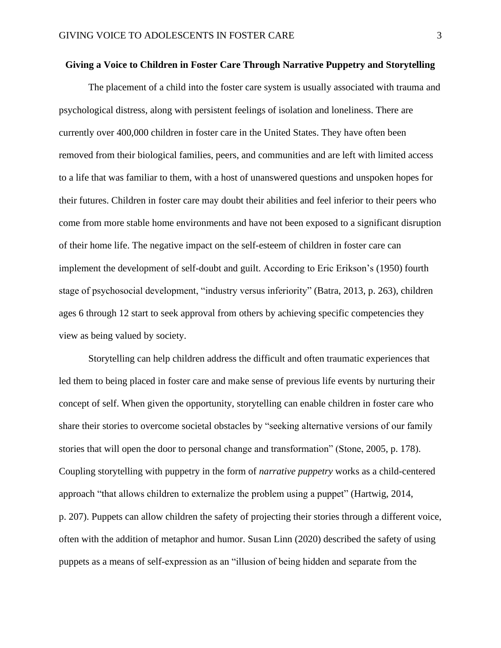#### **Giving a Voice to Children in Foster Care Through Narrative Puppetry and Storytelling**

The placement of a child into the foster care system is usually associated with trauma and psychological distress, along with persistent feelings of isolation and loneliness. There are currently over 400,000 children in foster care in the United States. They have often been removed from their biological families, peers, and communities and are left with limited access to a life that was familiar to them, with a host of unanswered questions and unspoken hopes for their futures. Children in foster care may doubt their abilities and feel inferior to their peers who come from more stable home environments and have not been exposed to a significant disruption of their home life. The negative impact on the self-esteem of children in foster care can implement the development of self-doubt and guilt. According to Eric Erikson's (1950) fourth stage of psychosocial development, "industry versus inferiority" (Batra, 2013, p. 263), children ages 6 through 12 start to seek approval from others by achieving specific competencies they view as being valued by society.

Storytelling can help children address the difficult and often traumatic experiences that led them to being placed in foster care and make sense of previous life events by nurturing their concept of self. When given the opportunity, storytelling can enable children in foster care who share their stories to overcome societal obstacles by "seeking alternative versions of our family stories that will open the door to personal change and transformation" (Stone, 2005, p. 178). Coupling storytelling with puppetry in the form of *narrative puppetry* works as a child-centered approach "that allows children to externalize the problem using a puppet" (Hartwig, 2014, p. 207). Puppets can allow children the safety of projecting their stories through a different voice, often with the addition of metaphor and humor. Susan Linn (2020) described the safety of using puppets as a means of self-expression as an "illusion of being hidden and separate from the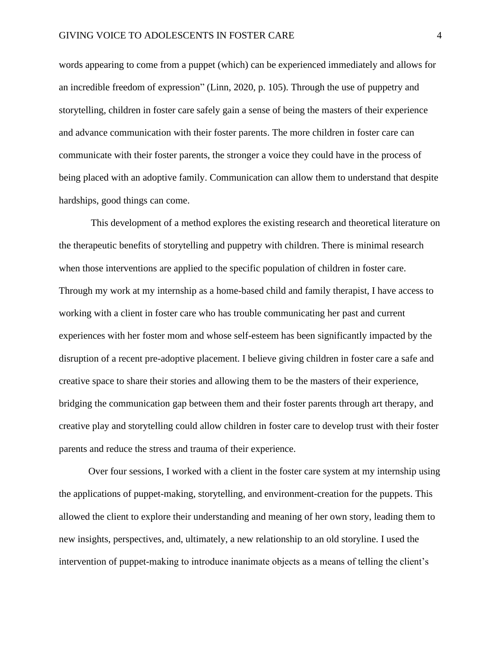words appearing to come from a puppet (which) can be experienced immediately and allows for an incredible freedom of expression" (Linn, 2020, p. 105). Through the use of puppetry and storytelling, children in foster care safely gain a sense of being the masters of their experience and advance communication with their foster parents. The more children in foster care can communicate with their foster parents, the stronger a voice they could have in the process of being placed with an adoptive family. Communication can allow them to understand that despite hardships, good things can come.

This development of a method explores the existing research and theoretical literature on the therapeutic benefits of storytelling and puppetry with children. There is minimal research when those interventions are applied to the specific population of children in foster care. Through my work at my internship as a home-based child and family therapist, I have access to working with a client in foster care who has trouble communicating her past and current experiences with her foster mom and whose self-esteem has been significantly impacted by the disruption of a recent pre-adoptive placement. I believe giving children in foster care a safe and creative space to share their stories and allowing them to be the masters of their experience, bridging the communication gap between them and their foster parents through art therapy, and creative play and storytelling could allow children in foster care to develop trust with their foster parents and reduce the stress and trauma of their experience.

Over four sessions, I worked with a client in the foster care system at my internship using the applications of puppet-making, storytelling, and environment-creation for the puppets. This allowed the client to explore their understanding and meaning of her own story, leading them to new insights, perspectives, and, ultimately, a new relationship to an old storyline. I used the intervention of puppet-making to introduce inanimate objects as a means of telling the client's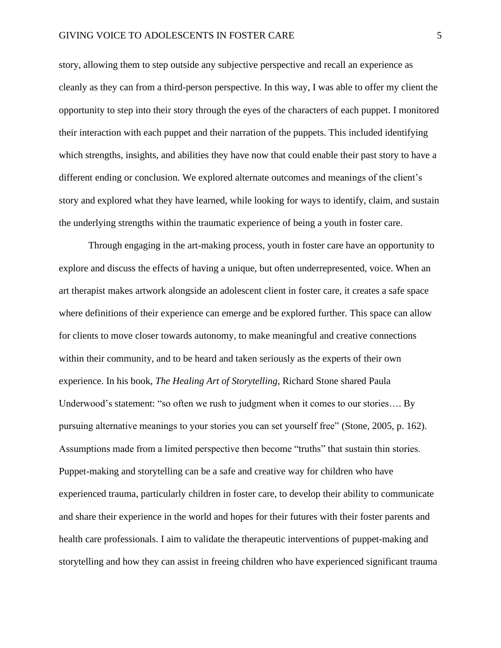story, allowing them to step outside any subjective perspective and recall an experience as cleanly as they can from a third-person perspective. In this way, I was able to offer my client the opportunity to step into their story through the eyes of the characters of each puppet. I monitored their interaction with each puppet and their narration of the puppets. This included identifying which strengths, insights, and abilities they have now that could enable their past story to have a different ending or conclusion. We explored alternate outcomes and meanings of the client's story and explored what they have learned, while looking for ways to identify, claim, and sustain the underlying strengths within the traumatic experience of being a youth in foster care.

Through engaging in the art-making process, youth in foster care have an opportunity to explore and discuss the effects of having a unique, but often underrepresented, voice. When an art therapist makes artwork alongside an adolescent client in foster care, it creates a safe space where definitions of their experience can emerge and be explored further. This space can allow for clients to move closer towards autonomy, to make meaningful and creative connections within their community, and to be heard and taken seriously as the experts of their own experience. In his book, *The Healing Art of Storytelling*, Richard Stone shared Paula Underwood's statement: "so often we rush to judgment when it comes to our stories…. By pursuing alternative meanings to your stories you can set yourself free" (Stone, 2005, p. 162). Assumptions made from a limited perspective then become "truths" that sustain thin stories. Puppet-making and storytelling can be a safe and creative way for children who have experienced trauma, particularly children in foster care, to develop their ability to communicate and share their experience in the world and hopes for their futures with their foster parents and health care professionals. I aim to validate the therapeutic interventions of puppet-making and storytelling and how they can assist in freeing children who have experienced significant trauma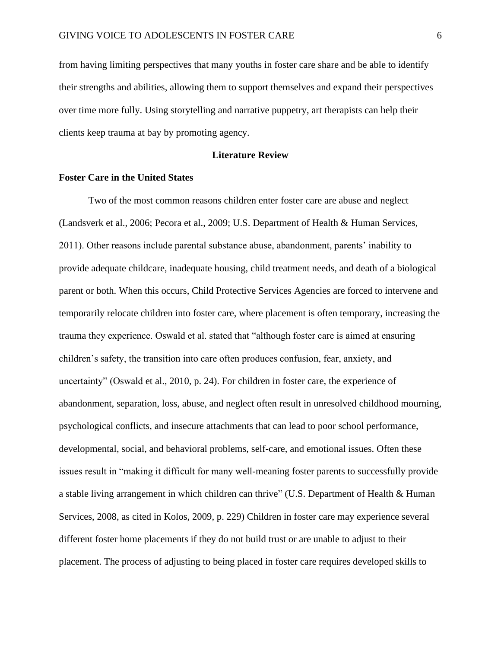from having limiting perspectives that many youths in foster care share and be able to identify their strengths and abilities, allowing them to support themselves and expand their perspectives over time more fully. Using storytelling and narrative puppetry, art therapists can help their clients keep trauma at bay by promoting agency.

#### **Literature Review**

#### **Foster Care in the United States**

Two of the most common reasons children enter foster care are abuse and neglect (Landsverk et al., 2006; Pecora et al., 2009; U.S. Department of Health & Human Services, 2011). Other reasons include parental substance abuse, abandonment, parents' inability to provide adequate childcare, inadequate housing, child treatment needs, and death of a biological parent or both. When this occurs, Child Protective Services Agencies are forced to intervene and temporarily relocate children into foster care, where placement is often temporary, increasing the trauma they experience. Oswald et al. stated that "although foster care is aimed at ensuring children's safety, the transition into care often produces confusion, fear, anxiety, and uncertainty" (Oswald et al., 2010, p. 24). For children in foster care, the experience of abandonment, separation, loss, abuse, and neglect often result in unresolved childhood mourning, psychological conflicts, and insecure attachments that can lead to poor school performance, developmental, social, and behavioral problems, self-care, and emotional issues. Often these issues result in "making it difficult for many well-meaning foster parents to successfully provide a stable living arrangement in which children can thrive" (U.S. Department of Health & Human Services, 2008, as cited in Kolos, 2009, p. 229) Children in foster care may experience several different foster home placements if they do not build trust or are unable to adjust to their placement. The process of adjusting to being placed in foster care requires developed skills to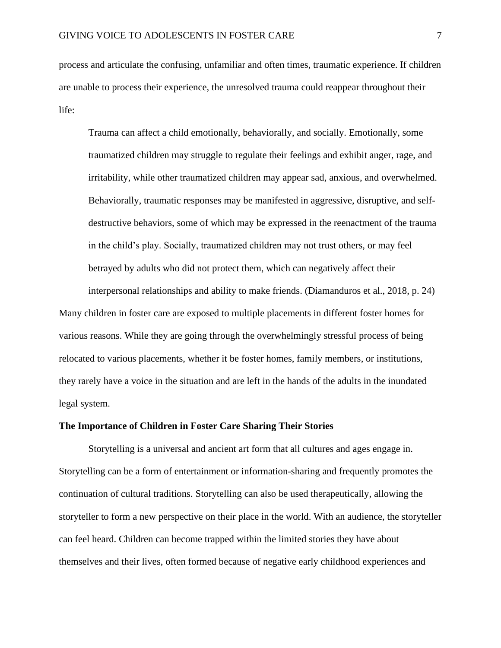process and articulate the confusing, unfamiliar and often times, traumatic experience. If children are unable to process their experience, the unresolved trauma could reappear throughout their life:

Trauma can affect a child emotionally, behaviorally, and socially. Emotionally, some traumatized children may struggle to regulate their feelings and exhibit anger, rage, and irritability, while other traumatized children may appear sad, anxious, and overwhelmed. Behaviorally, traumatic responses may be manifested in aggressive, disruptive, and selfdestructive behaviors, some of which may be expressed in the reenactment of the trauma in the child's play. Socially, traumatized children may not trust others, or may feel betrayed by adults who did not protect them, which can negatively affect their

interpersonal relationships and ability to make friends. (Diamanduros et al., 2018, p. 24) Many children in foster care are exposed to multiple placements in different foster homes for various reasons. While they are going through the overwhelmingly stressful process of being relocated to various placements, whether it be foster homes, family members, or institutions, they rarely have a voice in the situation and are left in the hands of the adults in the inundated legal system.

#### **The Importance of Children in Foster Care Sharing Their Stories**

Storytelling is a universal and ancient art form that all cultures and ages engage in. Storytelling can be a form of entertainment or information-sharing and frequently promotes the continuation of cultural traditions. Storytelling can also be used therapeutically, allowing the storyteller to form a new perspective on their place in the world. With an audience, the storyteller can feel heard. Children can become trapped within the limited stories they have about themselves and their lives, often formed because of negative early childhood experiences and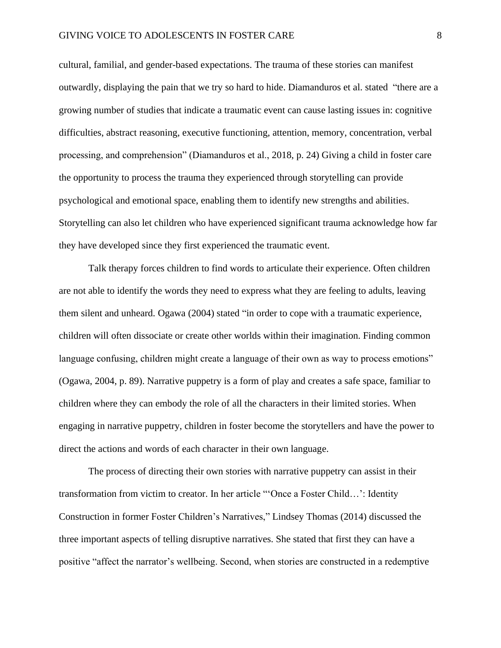cultural, familial, and gender-based expectations. The trauma of these stories can manifest outwardly, displaying the pain that we try so hard to hide. Diamanduros et al. stated "there are a growing number of studies that indicate a traumatic event can cause lasting issues in: cognitive difficulties, abstract reasoning, executive functioning, attention, memory, concentration, verbal processing, and comprehension" (Diamanduros et al., 2018, p. 24) Giving a child in foster care the opportunity to process the trauma they experienced through storytelling can provide psychological and emotional space, enabling them to identify new strengths and abilities. Storytelling can also let children who have experienced significant trauma acknowledge how far they have developed since they first experienced the traumatic event.

Talk therapy forces children to find words to articulate their experience. Often children are not able to identify the words they need to express what they are feeling to adults, leaving them silent and unheard. Ogawa (2004) stated "in order to cope with a traumatic experience, children will often dissociate or create other worlds within their imagination. Finding common language confusing, children might create a language of their own as way to process emotions" (Ogawa, 2004, p. 89). Narrative puppetry is a form of play and creates a safe space, familiar to children where they can embody the role of all the characters in their limited stories. When engaging in narrative puppetry, children in foster become the storytellers and have the power to direct the actions and words of each character in their own language.

The process of directing their own stories with narrative puppetry can assist in their transformation from victim to creator. In her article "'Once a Foster Child…': Identity Construction in former Foster Children's Narratives," Lindsey Thomas (2014) discussed the three important aspects of telling disruptive narratives. She stated that first they can have a positive "affect the narrator's wellbeing. Second, when stories are constructed in a redemptive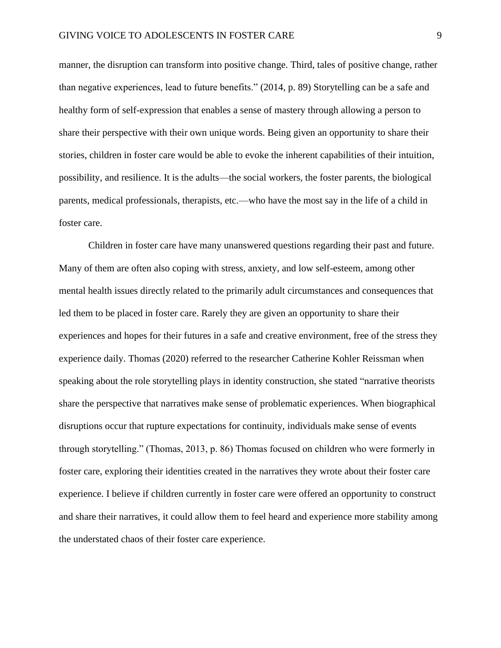manner, the disruption can transform into positive change. Third, tales of positive change, rather than negative experiences, lead to future benefits." (2014, p. 89) Storytelling can be a safe and healthy form of self-expression that enables a sense of mastery through allowing a person to share their perspective with their own unique words. Being given an opportunity to share their stories, children in foster care would be able to evoke the inherent capabilities of their intuition, possibility, and resilience. It is the adults—the social workers, the foster parents, the biological parents, medical professionals, therapists, etc.—who have the most say in the life of a child in foster care.

Children in foster care have many unanswered questions regarding their past and future. Many of them are often also coping with stress, anxiety, and low self-esteem, among other mental health issues directly related to the primarily adult circumstances and consequences that led them to be placed in foster care. Rarely they are given an opportunity to share their experiences and hopes for their futures in a safe and creative environment, free of the stress they experience daily. Thomas (2020) referred to the researcher Catherine Kohler Reissman when speaking about the role storytelling plays in identity construction, she stated "narrative theorists share the perspective that narratives make sense of problematic experiences. When biographical disruptions occur that rupture expectations for continuity, individuals make sense of events through storytelling." (Thomas, 2013, p. 86) Thomas focused on children who were formerly in foster care, exploring their identities created in the narratives they wrote about their foster care experience. I believe if children currently in foster care were offered an opportunity to construct and share their narratives, it could allow them to feel heard and experience more stability among the understated chaos of their foster care experience.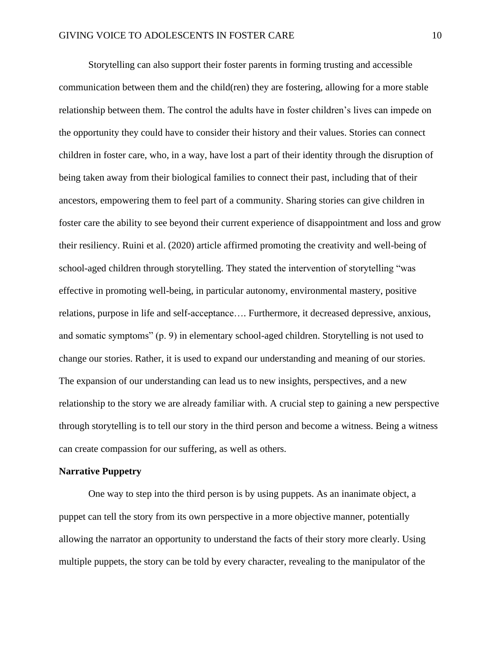Storytelling can also support their foster parents in forming trusting and accessible communication between them and the child(ren) they are fostering, allowing for a more stable relationship between them. The control the adults have in foster children's lives can impede on the opportunity they could have to consider their history and their values. Stories can connect children in foster care, who, in a way, have lost a part of their identity through the disruption of being taken away from their biological families to connect their past, including that of their ancestors, empowering them to feel part of a community. Sharing stories can give children in foster care the ability to see beyond their current experience of disappointment and loss and grow their resiliency. Ruini et al. (2020) article affirmed promoting the creativity and well-being of school-aged children through storytelling. They stated the intervention of storytelling "was effective in promoting well-being, in particular autonomy, environmental mastery, positive relations, purpose in life and self-acceptance…. Furthermore, it decreased depressive, anxious, and somatic symptoms" (p. 9) in elementary school-aged children. Storytelling is not used to change our stories. Rather, it is used to expand our understanding and meaning of our stories. The expansion of our understanding can lead us to new insights, perspectives, and a new relationship to the story we are already familiar with. A crucial step to gaining a new perspective through storytelling is to tell our story in the third person and become a witness. Being a witness can create compassion for our suffering, as well as others.

#### **Narrative Puppetry**

One way to step into the third person is by using puppets. As an inanimate object, a puppet can tell the story from its own perspective in a more objective manner, potentially allowing the narrator an opportunity to understand the facts of their story more clearly. Using multiple puppets, the story can be told by every character, revealing to the manipulator of the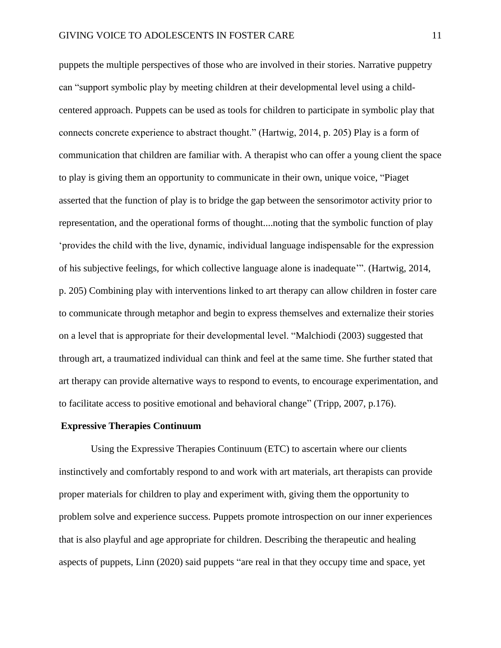puppets the multiple perspectives of those who are involved in their stories. Narrative puppetry can "support symbolic play by meeting children at their developmental level using a childcentered approach. Puppets can be used as tools for children to participate in symbolic play that connects concrete experience to abstract thought." (Hartwig, 2014, p. 205) Play is a form of communication that children are familiar with. A therapist who can offer a young client the space to play is giving them an opportunity to communicate in their own, unique voice, "Piaget asserted that the function of play is to bridge the gap between the sensorimotor activity prior to representation, and the operational forms of thought....noting that the symbolic function of play 'provides the child with the live, dynamic, individual language indispensable for the expression of his subjective feelings, for which collective language alone is inadequate'". (Hartwig, 2014, p. 205) Combining play with interventions linked to art therapy can allow children in foster care to communicate through metaphor and begin to express themselves and externalize their stories on a level that is appropriate for their developmental level. "Malchiodi (2003) suggested that through art, a traumatized individual can think and feel at the same time. She further stated that art therapy can provide alternative ways to respond to events, to encourage experimentation, and to facilitate access to positive emotional and behavioral change" (Tripp, 2007, p.176).

#### **Expressive Therapies Continuum**

Using the Expressive Therapies Continuum (ETC) to ascertain where our clients instinctively and comfortably respond to and work with art materials, art therapists can provide proper materials for children to play and experiment with, giving them the opportunity to problem solve and experience success. Puppets promote introspection on our inner experiences that is also playful and age appropriate for children. Describing the therapeutic and healing aspects of puppets, Linn (2020) said puppets "are real in that they occupy time and space, yet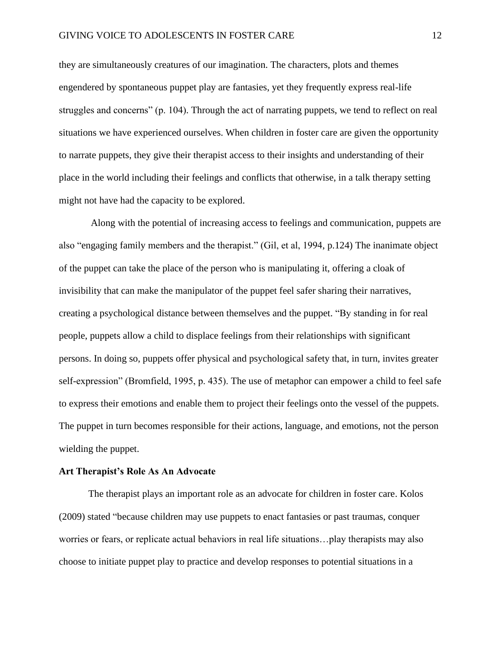they are simultaneously creatures of our imagination. The characters, plots and themes engendered by spontaneous puppet play are fantasies, yet they frequently express real-life struggles and concerns" (p. 104). Through the act of narrating puppets, we tend to reflect on real situations we have experienced ourselves. When children in foster care are given the opportunity to narrate puppets, they give their therapist access to their insights and understanding of their place in the world including their feelings and conflicts that otherwise, in a talk therapy setting might not have had the capacity to be explored.

Along with the potential of increasing access to feelings and communication, puppets are also "engaging family members and the therapist." (Gil, et al, 1994, p.124) The inanimate object of the puppet can take the place of the person who is manipulating it, offering a cloak of invisibility that can make the manipulator of the puppet feel safer sharing their narratives, creating a psychological distance between themselves and the puppet. "By standing in for real people, puppets allow a child to displace feelings from their relationships with significant persons. In doing so, puppets offer physical and psychological safety that, in turn, invites greater self-expression" (Bromfield, 1995, p. 435). The use of metaphor can empower a child to feel safe to express their emotions and enable them to project their feelings onto the vessel of the puppets. The puppet in turn becomes responsible for their actions, language, and emotions, not the person wielding the puppet.

#### **Art Therapist's Role As An Advocate**

The therapist plays an important role as an advocate for children in foster care. Kolos (2009) stated "because children may use puppets to enact fantasies or past traumas, conquer worries or fears, or replicate actual behaviors in real life situations…play therapists may also choose to initiate puppet play to practice and develop responses to potential situations in a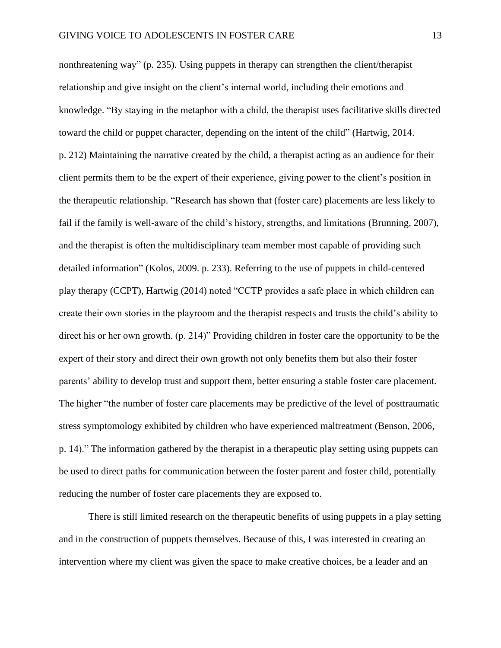nonthreatening way" (p. 235). Using puppets in therapy can strengthen the client/therapist relationship and give insight on the client's internal world, including their emotions and knowledge. "By staying in the metaphor with a child, the therapist uses facilitative skills directed toward the child or puppet character, depending on the intent of the child" (Hartwig, 2014. p. 212) Maintaining the narrative created by the child, a therapist acting as an audience for their client permits them to be the expert of their experience, giving power to the client's position in the therapeutic relationship. "Research has shown that (foster care) placements are less likely to fail if the family is well-aware of the child's history, strengths, and limitations (Brunning, 2007), and the therapist is often the multidisciplinary team member most capable of providing such detailed information" (Kolos, 2009. p. 233). Referring to the use of puppets in child-centered play therapy (CCPT), Hartwig (2014) noted "CCTP provides a safe place in which children can create their own stories in the playroom and the therapist respects and trusts the child's ability to direct his or her own growth. (p. 214)" Providing children in foster care the opportunity to be the expert of their story and direct their own growth not only benefits them but also their foster parents' ability to develop trust and support them, better ensuring a stable foster care placement. The higher "the number of foster care placements may be predictive of the level of posttraumatic stress symptomology exhibited by children who have experienced maltreatment (Benson, 2006, p. 14)." The information gathered by the therapist in a therapeutic play setting using puppets can be used to direct paths for communication between the foster parent and foster child, potentially reducing the number of foster care placements they are exposed to.

There is still limited research on the therapeutic benefits of using puppets in a play setting and in the construction of puppets themselves. Because of this, I was interested in creating an intervention where my client was given the space to make creative choices, be a leader and an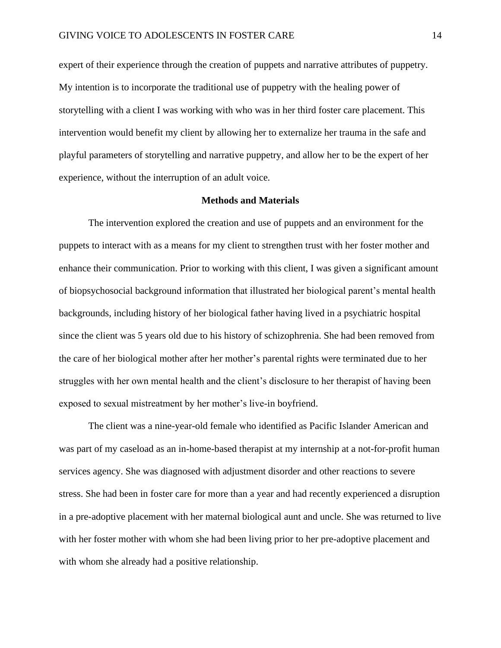expert of their experience through the creation of puppets and narrative attributes of puppetry. My intention is to incorporate the traditional use of puppetry with the healing power of storytelling with a client I was working with who was in her third foster care placement. This intervention would benefit my client by allowing her to externalize her trauma in the safe and playful parameters of storytelling and narrative puppetry, and allow her to be the expert of her experience, without the interruption of an adult voice.

#### **Methods and Materials**

The intervention explored the creation and use of puppets and an environment for the puppets to interact with as a means for my client to strengthen trust with her foster mother and enhance their communication. Prior to working with this client, I was given a significant amount of biopsychosocial background information that illustrated her biological parent's mental health backgrounds, including history of her biological father having lived in a psychiatric hospital since the client was 5 years old due to his history of schizophrenia. She had been removed from the care of her biological mother after her mother's parental rights were terminated due to her struggles with her own mental health and the client's disclosure to her therapist of having been exposed to sexual mistreatment by her mother's live-in boyfriend.

The client was a nine-year-old female who identified as Pacific Islander American and was part of my caseload as an in-home-based therapist at my internship at a not-for-profit human services agency. She was diagnosed with adjustment disorder and other reactions to severe stress. She had been in foster care for more than a year and had recently experienced a disruption in a pre-adoptive placement with her maternal biological aunt and uncle. She was returned to live with her foster mother with whom she had been living prior to her pre-adoptive placement and with whom she already had a positive relationship.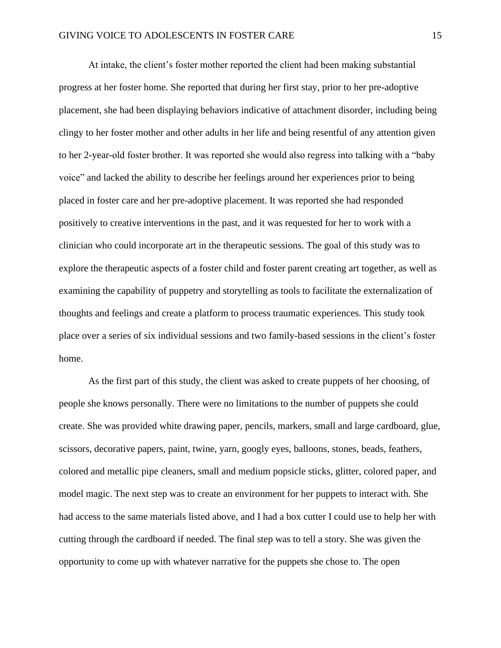At intake, the client's foster mother reported the client had been making substantial progress at her foster home. She reported that during her first stay, prior to her pre-adoptive placement, she had been displaying behaviors indicative of attachment disorder, including being clingy to her foster mother and other adults in her life and being resentful of any attention given to her 2-year-old foster brother. It was reported she would also regress into talking with a "baby voice" and lacked the ability to describe her feelings around her experiences prior to being placed in foster care and her pre-adoptive placement. It was reported she had responded positively to creative interventions in the past, and it was requested for her to work with a clinician who could incorporate art in the therapeutic sessions. The goal of this study was to explore the therapeutic aspects of a foster child and foster parent creating art together, as well as examining the capability of puppetry and storytelling as tools to facilitate the externalization of thoughts and feelings and create a platform to process traumatic experiences. This study took place over a series of six individual sessions and two family-based sessions in the client's foster home.

As the first part of this study, the client was asked to create puppets of her choosing, of people she knows personally. There were no limitations to the number of puppets she could create. She was provided white drawing paper, pencils, markers, small and large cardboard, glue, scissors, decorative papers, paint, twine, yarn, googly eyes, balloons, stones, beads, feathers, colored and metallic pipe cleaners, small and medium popsicle sticks, glitter, colored paper, and model magic. The next step was to create an environment for her puppets to interact with. She had access to the same materials listed above, and I had a box cutter I could use to help her with cutting through the cardboard if needed. The final step was to tell a story. She was given the opportunity to come up with whatever narrative for the puppets she chose to. The open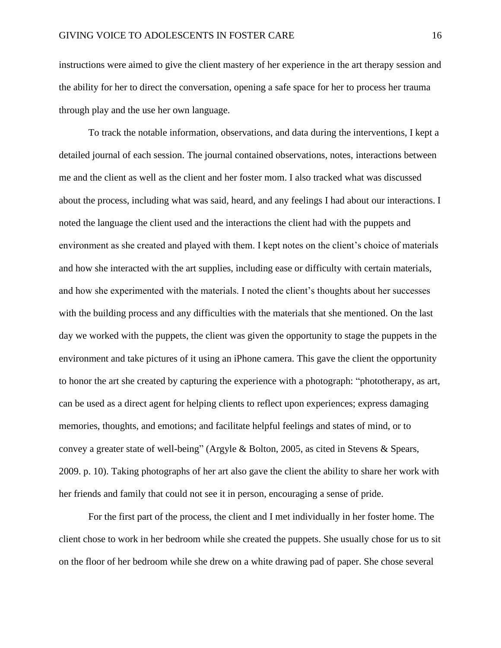instructions were aimed to give the client mastery of her experience in the art therapy session and the ability for her to direct the conversation, opening a safe space for her to process her trauma through play and the use her own language.

To track the notable information, observations, and data during the interventions, I kept a detailed journal of each session. The journal contained observations, notes, interactions between me and the client as well as the client and her foster mom. I also tracked what was discussed about the process, including what was said, heard, and any feelings I had about our interactions. I noted the language the client used and the interactions the client had with the puppets and environment as she created and played with them. I kept notes on the client's choice of materials and how she interacted with the art supplies, including ease or difficulty with certain materials, and how she experimented with the materials. I noted the client's thoughts about her successes with the building process and any difficulties with the materials that she mentioned. On the last day we worked with the puppets, the client was given the opportunity to stage the puppets in the environment and take pictures of it using an iPhone camera. This gave the client the opportunity to honor the art she created by capturing the experience with a photograph: "phototherapy, as art, can be used as a direct agent for helping clients to reflect upon experiences; express damaging memories, thoughts, and emotions; and facilitate helpful feelings and states of mind, or to convey a greater state of well-being" (Argyle & Bolton, 2005, as cited in Stevens & Spears, 2009. p. 10). Taking photographs of her art also gave the client the ability to share her work with her friends and family that could not see it in person, encouraging a sense of pride.

For the first part of the process, the client and I met individually in her foster home. The client chose to work in her bedroom while she created the puppets. She usually chose for us to sit on the floor of her bedroom while she drew on a white drawing pad of paper. She chose several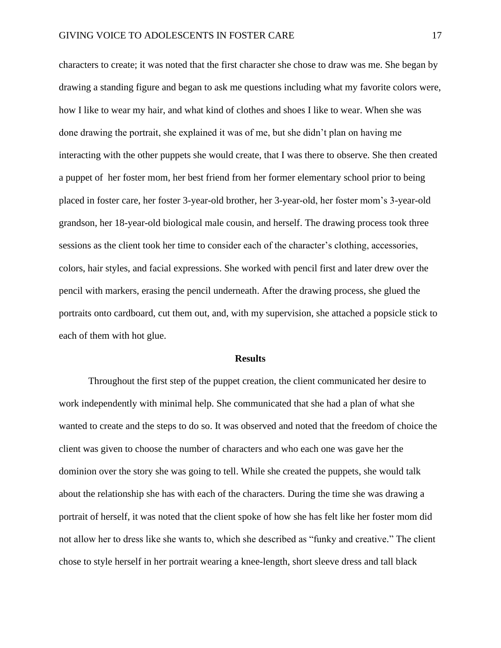characters to create; it was noted that the first character she chose to draw was me. She began by drawing a standing figure and began to ask me questions including what my favorite colors were, how I like to wear my hair, and what kind of clothes and shoes I like to wear. When she was done drawing the portrait, she explained it was of me, but she didn't plan on having me interacting with the other puppets she would create, that I was there to observe. She then created a puppet of her foster mom, her best friend from her former elementary school prior to being placed in foster care, her foster 3-year-old brother, her 3-year-old, her foster mom's 3-year-old grandson, her 18-year-old biological male cousin, and herself. The drawing process took three sessions as the client took her time to consider each of the character's clothing, accessories, colors, hair styles, and facial expressions. She worked with pencil first and later drew over the pencil with markers, erasing the pencil underneath. After the drawing process, she glued the portraits onto cardboard, cut them out, and, with my supervision, she attached a popsicle stick to each of them with hot glue.

#### **Results**

Throughout the first step of the puppet creation, the client communicated her desire to work independently with minimal help. She communicated that she had a plan of what she wanted to create and the steps to do so. It was observed and noted that the freedom of choice the client was given to choose the number of characters and who each one was gave her the dominion over the story she was going to tell. While she created the puppets, she would talk about the relationship she has with each of the characters. During the time she was drawing a portrait of herself, it was noted that the client spoke of how she has felt like her foster mom did not allow her to dress like she wants to, which she described as "funky and creative." The client chose to style herself in her portrait wearing a knee-length, short sleeve dress and tall black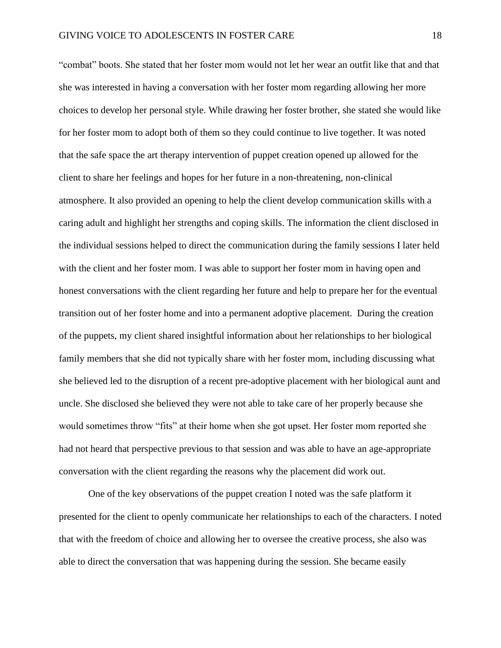"combat" boots. She stated that her foster mom would not let her wear an outfit like that and that she was interested in having a conversation with her foster mom regarding allowing her more choices to develop her personal style. While drawing her foster brother, she stated she would like for her foster mom to adopt both of them so they could continue to live together. It was noted that the safe space the art therapy intervention of puppet creation opened up allowed for the client to share her feelings and hopes for her future in a non-threatening, non-clinical atmosphere. It also provided an opening to help the client develop communication skills with a caring adult and highlight her strengths and coping skills. The information the client disclosed in the individual sessions helped to direct the communication during the family sessions I later held with the client and her foster mom. I was able to support her foster mom in having open and honest conversations with the client regarding her future and help to prepare her for the eventual transition out of her foster home and into a permanent adoptive placement. During the creation of the puppets, my client shared insightful information about her relationships to her biological family members that she did not typically share with her foster mom, including discussing what she believed led to the disruption of a recent pre-adoptive placement with her biological aunt and uncle. She disclosed she believed they were not able to take care of her properly because she would sometimes throw "fits" at their home when she got upset. Her foster mom reported she had not heard that perspective previous to that session and was able to have an age-appropriate conversation with the client regarding the reasons why the placement did work out.

One of the key observations of the puppet creation I noted was the safe platform it presented for the client to openly communicate her relationships to each of the characters. I noted that with the freedom of choice and allowing her to oversee the creative process, she also was able to direct the conversation that was happening during the session. She became easily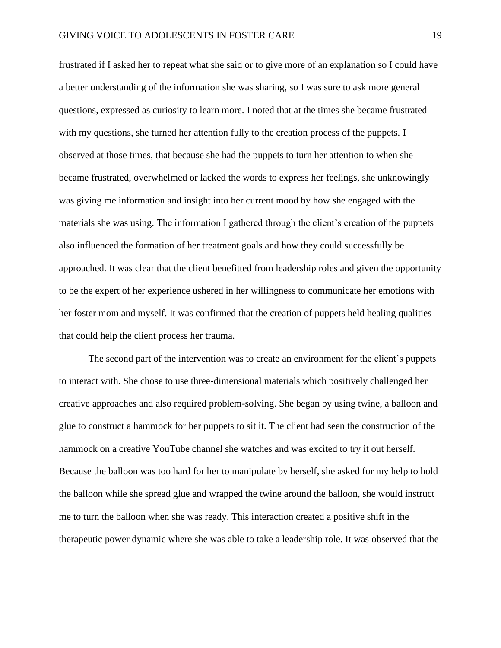frustrated if I asked her to repeat what she said or to give more of an explanation so I could have a better understanding of the information she was sharing, so I was sure to ask more general questions, expressed as curiosity to learn more. I noted that at the times she became frustrated with my questions, she turned her attention fully to the creation process of the puppets. I observed at those times, that because she had the puppets to turn her attention to when she became frustrated, overwhelmed or lacked the words to express her feelings, she unknowingly was giving me information and insight into her current mood by how she engaged with the materials she was using. The information I gathered through the client's creation of the puppets also influenced the formation of her treatment goals and how they could successfully be approached. It was clear that the client benefitted from leadership roles and given the opportunity to be the expert of her experience ushered in her willingness to communicate her emotions with her foster mom and myself. It was confirmed that the creation of puppets held healing qualities that could help the client process her trauma.

The second part of the intervention was to create an environment for the client's puppets to interact with. She chose to use three-dimensional materials which positively challenged her creative approaches and also required problem-solving. She began by using twine, a balloon and glue to construct a hammock for her puppets to sit it. The client had seen the construction of the hammock on a creative YouTube channel she watches and was excited to try it out herself. Because the balloon was too hard for her to manipulate by herself, she asked for my help to hold the balloon while she spread glue and wrapped the twine around the balloon, she would instruct me to turn the balloon when she was ready. This interaction created a positive shift in the therapeutic power dynamic where she was able to take a leadership role. It was observed that the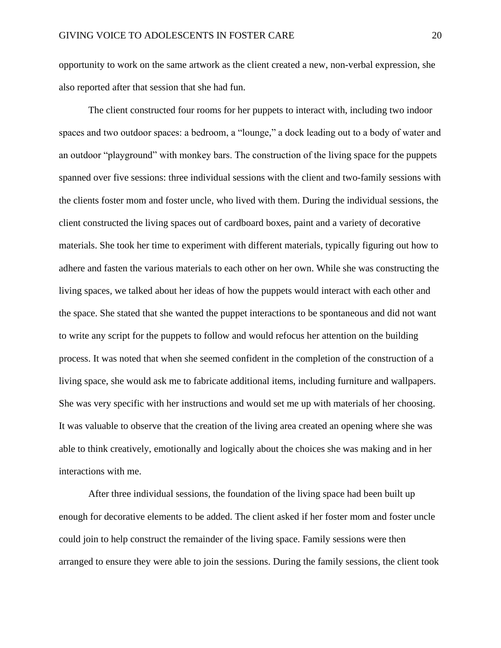opportunity to work on the same artwork as the client created a new, non-verbal expression, she also reported after that session that she had fun.

The client constructed four rooms for her puppets to interact with, including two indoor spaces and two outdoor spaces: a bedroom, a "lounge," a dock leading out to a body of water and an outdoor "playground" with monkey bars. The construction of the living space for the puppets spanned over five sessions: three individual sessions with the client and two-family sessions with the clients foster mom and foster uncle, who lived with them. During the individual sessions, the client constructed the living spaces out of cardboard boxes, paint and a variety of decorative materials. She took her time to experiment with different materials, typically figuring out how to adhere and fasten the various materials to each other on her own. While she was constructing the living spaces, we talked about her ideas of how the puppets would interact with each other and the space. She stated that she wanted the puppet interactions to be spontaneous and did not want to write any script for the puppets to follow and would refocus her attention on the building process. It was noted that when she seemed confident in the completion of the construction of a living space, she would ask me to fabricate additional items, including furniture and wallpapers. She was very specific with her instructions and would set me up with materials of her choosing. It was valuable to observe that the creation of the living area created an opening where she was able to think creatively, emotionally and logically about the choices she was making and in her interactions with me.

After three individual sessions, the foundation of the living space had been built up enough for decorative elements to be added. The client asked if her foster mom and foster uncle could join to help construct the remainder of the living space. Family sessions were then arranged to ensure they were able to join the sessions. During the family sessions, the client took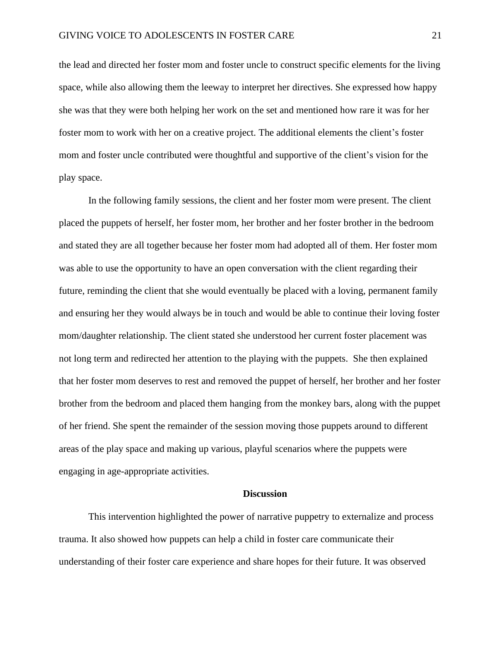the lead and directed her foster mom and foster uncle to construct specific elements for the living space, while also allowing them the leeway to interpret her directives. She expressed how happy she was that they were both helping her work on the set and mentioned how rare it was for her foster mom to work with her on a creative project. The additional elements the client's foster mom and foster uncle contributed were thoughtful and supportive of the client's vision for the play space.

In the following family sessions, the client and her foster mom were present. The client placed the puppets of herself, her foster mom, her brother and her foster brother in the bedroom and stated they are all together because her foster mom had adopted all of them. Her foster mom was able to use the opportunity to have an open conversation with the client regarding their future, reminding the client that she would eventually be placed with a loving, permanent family and ensuring her they would always be in touch and would be able to continue their loving foster mom/daughter relationship. The client stated she understood her current foster placement was not long term and redirected her attention to the playing with the puppets. She then explained that her foster mom deserves to rest and removed the puppet of herself, her brother and her foster brother from the bedroom and placed them hanging from the monkey bars, along with the puppet of her friend. She spent the remainder of the session moving those puppets around to different areas of the play space and making up various, playful scenarios where the puppets were engaging in age-appropriate activities.

## **Discussion**

This intervention highlighted the power of narrative puppetry to externalize and process trauma. It also showed how puppets can help a child in foster care communicate their understanding of their foster care experience and share hopes for their future. It was observed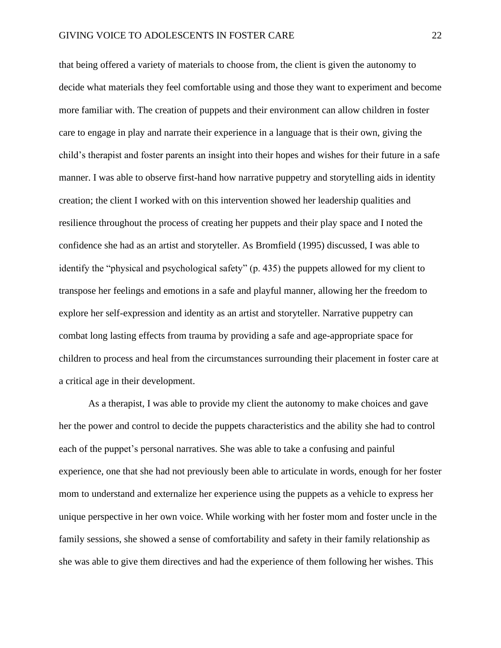that being offered a variety of materials to choose from, the client is given the autonomy to decide what materials they feel comfortable using and those they want to experiment and become more familiar with. The creation of puppets and their environment can allow children in foster care to engage in play and narrate their experience in a language that is their own, giving the child's therapist and foster parents an insight into their hopes and wishes for their future in a safe manner. I was able to observe first-hand how narrative puppetry and storytelling aids in identity creation; the client I worked with on this intervention showed her leadership qualities and resilience throughout the process of creating her puppets and their play space and I noted the confidence she had as an artist and storyteller. As Bromfield (1995) discussed, I was able to identify the "physical and psychological safety" (p. 435) the puppets allowed for my client to transpose her feelings and emotions in a safe and playful manner, allowing her the freedom to explore her self-expression and identity as an artist and storyteller. Narrative puppetry can combat long lasting effects from trauma by providing a safe and age-appropriate space for children to process and heal from the circumstances surrounding their placement in foster care at a critical age in their development.

As a therapist, I was able to provide my client the autonomy to make choices and gave her the power and control to decide the puppets characteristics and the ability she had to control each of the puppet's personal narratives. She was able to take a confusing and painful experience, one that she had not previously been able to articulate in words, enough for her foster mom to understand and externalize her experience using the puppets as a vehicle to express her unique perspective in her own voice. While working with her foster mom and foster uncle in the family sessions, she showed a sense of comfortability and safety in their family relationship as she was able to give them directives and had the experience of them following her wishes. This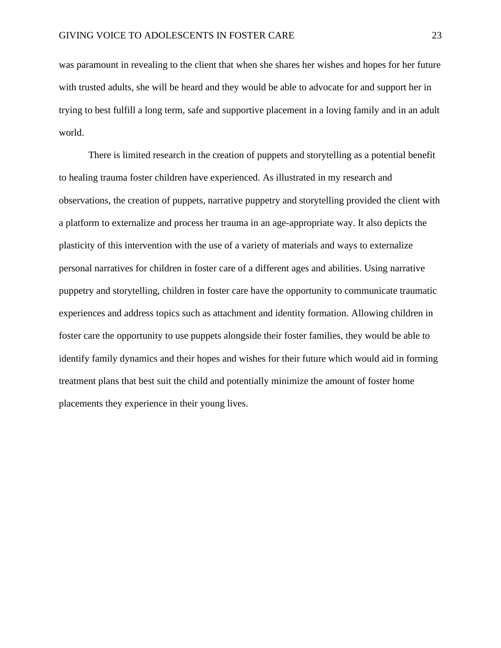was paramount in revealing to the client that when she shares her wishes and hopes for her future with trusted adults, she will be heard and they would be able to advocate for and support her in trying to best fulfill a long term, safe and supportive placement in a loving family and in an adult world.

There is limited research in the creation of puppets and storytelling as a potential benefit to healing trauma foster children have experienced. As illustrated in my research and observations, the creation of puppets, narrative puppetry and storytelling provided the client with a platform to externalize and process her trauma in an age-appropriate way. It also depicts the plasticity of this intervention with the use of a variety of materials and ways to externalize personal narratives for children in foster care of a different ages and abilities. Using narrative puppetry and storytelling, children in foster care have the opportunity to communicate traumatic experiences and address topics such as attachment and identity formation. Allowing children in foster care the opportunity to use puppets alongside their foster families, they would be able to identify family dynamics and their hopes and wishes for their future which would aid in forming treatment plans that best suit the child and potentially minimize the amount of foster home placements they experience in their young lives.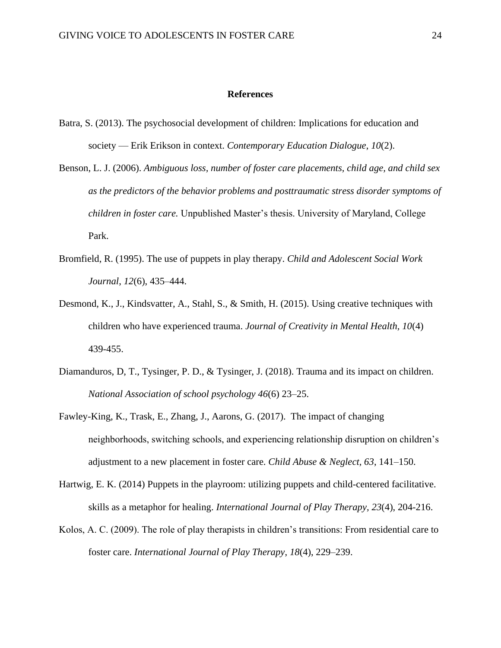#### **References**

- Batra, S. (2013). The psychosocial development of children: Implications for education and society — Erik Erikson in context. *Contemporary Education Dialogue*, *10*(2).
- Benson, L. J. (2006). *Ambiguous loss, number of foster care placements, child age, and child sex as the predictors of the behavior problems and posttraumatic stress disorder symptoms of children in foster care.* Unpublished Master's thesis. University of Maryland, College Park.
- Bromfield, R. (1995). The use of puppets in play therapy. *Child and Adolescent Social Work Journal*, *12*(6), 435–444.
- Desmond, K., J., Kindsvatter, A., Stahl, S., & Smith, H. (2015). Using creative techniques with children who have experienced trauma. *Journal of Creativity in Mental Health, 10*(4) 439-455.
- Diamanduros, D, T., Tysinger, P. D., & Tysinger, J. (2018). Trauma and its impact on children. *National Association of school psychology 46*(6) 23–25.
- Fawley-King, K., Trask, E., Zhang, J., Aarons, G. (2017). The impact of changing neighborhoods, switching schools, and experiencing relationship disruption on children's adjustment to a new placement in foster care. *Child Abuse & Neglect, 63*, 141–150.
- Hartwig, E. K. (2014) Puppets in the playroom: utilizing puppets and child-centered facilitative. skills as a metaphor for healing. *International Journal of Play Therapy, 23*(4), 204-216.
- Kolos, A. C. (2009). The role of play therapists in children's transitions: From residential care to foster care. *International Journal of Play Therapy*, *18*(4), 229–239.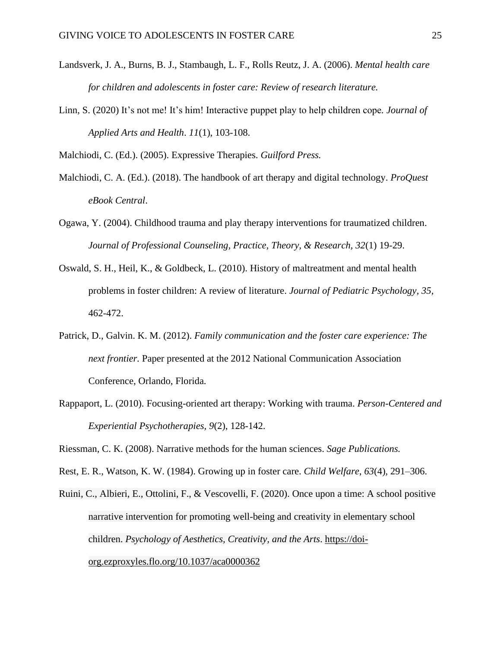- Landsverk, J. A., Burns, B. J., Stambaugh, L. F., Rolls Reutz, J. A. (2006). *Mental health care for children and adolescents in foster care: Review of research literature.*
- Linn, S. (2020) It's not me! It's him! Interactive puppet play to help children cope*. Journal of Applied Arts and Health*. *11*(1), 103-108.

Malchiodi, C. (Ed.). (2005). [Expressive Therapies.](https://my.lesley.edu/webapps/blackboard/content/listContent.jsp?course_id=_78464_1&content_id=_2248762_1&mode=reset#AN=flo.2039157&db=cat05324a) *Guilford Press.*

- Malchiodi, C. A. (Ed.). (2018). The handbook of art therapy and digital technology. *ProQuest eBook Central*.
- Ogawa, Y. (2004). Childhood trauma and play therapy interventions for traumatized children. *Journal of Professional Counseling, Practice, Theory, & Research, 32*(1) 19-29.
- Oswald, S. H., Heil, K., & Goldbeck, L. (2010). History of maltreatment and mental health problems in foster children: A review of literature. *Journal of Pediatric Psychology, 35,*  462-472.
- Patrick, D., Galvin. K. M. (2012). *Family communication and the foster care experience: The next frontier.* Paper presented at the 2012 National Communication Association Conference, Orlando, Florida.
- [Rappaport, L. \(2010\). Focusing-oriented art therapy: Working with trauma.](http://ezproxyles.flo.org/login?url=http://search.ebscohost.com/login.aspx?direct=true&db=cat05473a&AN=les.1140501&site=eds-live&scope=site) *Person-Centered and Experiential Psychotherapies, 9*[\(2\), 128-142.](http://ezproxyles.flo.org/login?url=http://search.ebscohost.com/login.aspx?direct=true&db=cat05473a&AN=les.1140501&site=eds-live&scope=site)

Riessman, C. K. (2008). Narrative methods for the human sciences. *Sage Publications.*

Rest, E. R., Watson, K. W. (1984). Growing up in foster care. *Child Welfare*, *63*(4), 291–306.

Ruini, C., Albieri, E., Ottolini, F., & Vescovelli, F. (2020). Once upon a time: A school positive narrative intervention for promoting well-being and creativity in elementary school children. *Psychology of Aesthetics, Creativity, and the Arts*. [https://doi](https://doi-org.ezproxyles.flo.org/10.1037/aca0000362)[org.ezproxyles.flo.org/10.1037/aca0000362](https://doi-org.ezproxyles.flo.org/10.1037/aca0000362)